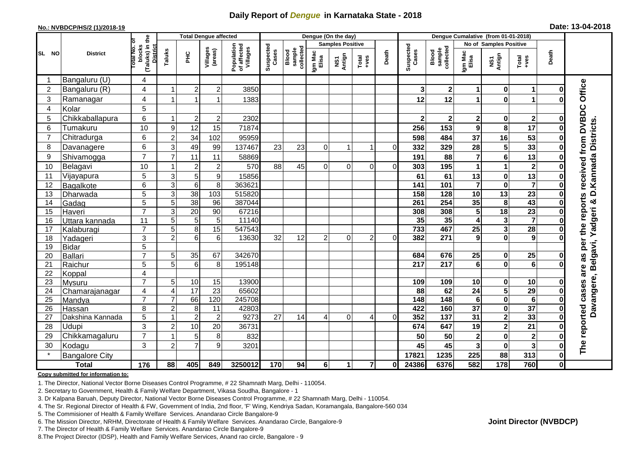## **Daily Report of** *Dengue* **in Karnataka State - 2018**

#### **No.: NVBDCP/HS/2 (1)/2018-19**

|  | Date: 13-04-2018 |  |
|--|------------------|--|
|--|------------------|--|

|                |                       |                                                       |                           |                 | <b>Total Dengue affected</b> |                                       |                    |                              |                  | Dengue (On the day)     |                |          | Dengue Cumalative (from 01-01-2018) |                                     |                         |                         |                                                              |              |                                                               |
|----------------|-----------------------|-------------------------------------------------------|---------------------------|-----------------|------------------------------|---------------------------------------|--------------------|------------------------------|------------------|-------------------------|----------------|----------|-------------------------------------|-------------------------------------|-------------------------|-------------------------|--------------------------------------------------------------|--------------|---------------------------------------------------------------|
|                |                       |                                                       |                           |                 |                              |                                       |                    |                              |                  | <b>Samples Positive</b> |                |          |                                     |                                     | No of Samples Positive  |                         |                                                              |              |                                                               |
| SL NO          | <b>District</b>       | (Taluks) in the<br>District<br>lotal No. ol<br>blocks | Taluks                    | ЭH              | Villages<br>(areas)          | Population<br>of affected<br>Villages | Suspected<br>Cases | sample<br>collected<br>Blood | Igm Mac<br>Elisa | NS1<br>Antign           | $Total$        | Death    | Suspected<br>Cases                  | collected<br><b>Blood</b><br>sample | Igm Mac<br>Elisa        | NS1<br>Antign           | $\begin{array}{c}\n\text{Total} \\ \text{Area}\n\end{array}$ | Death        |                                                               |
|                | Bangaluru (U)         | 4                                                     |                           |                 |                              |                                       |                    |                              |                  |                         |                |          |                                     |                                     |                         |                         |                                                              |              |                                                               |
| $\overline{2}$ | Bangaluru (R)         | 4                                                     | -1                        | $\overline{2}$  | $\mathbf 2$                  | 3850                                  |                    |                              |                  |                         |                |          | 3                                   | 2 <sup>1</sup>                      | 1                       | $\mathbf 0$             | $\mathbf 1$                                                  | $\bf{0}$     |                                                               |
| 3              | Ramanagar             | 4                                                     |                           |                 | 1                            | 1383                                  |                    |                              |                  |                         |                |          | 12                                  | 12                                  | 1                       | $\mathbf 0$             | 1                                                            |              | Office                                                        |
| 4              | Kolar                 | 5                                                     |                           |                 |                              |                                       |                    |                              |                  |                         |                |          |                                     |                                     |                         |                         |                                                              |              |                                                               |
| 5              | Chikkaballapura       | 6                                                     | -1                        | $\overline{2}$  | $\mathbf 2$                  | 2302                                  |                    |                              |                  |                         |                |          | $\overline{2}$                      | $\mathbf{2}$                        | 2                       | 0                       | $\mathbf{2}$                                                 | 0            |                                                               |
| 6              | Tumakuru              | 10                                                    | 9                         | 12              | 15                           | 71874                                 |                    |                              |                  |                         |                |          | 256                                 | 153                                 | 9                       | 8                       | 17                                                           | O            |                                                               |
| $\overline{7}$ | Chitradurga           | 6                                                     | $\overline{c}$            | 34              | 102                          | 95959                                 |                    |                              |                  |                         |                |          | 598                                 | 484                                 | 37                      | 16                      | 53                                                           | 0            |                                                               |
| 8              | Davanagere            | 6                                                     | 3                         | 49              | 99                           | 137467                                | 23                 | 23                           | 0                |                         | 1              | $\Omega$ | 332                                 | 329                                 | 28                      | 5                       | 33                                                           | ŋ            |                                                               |
| 9              | Shivamogga            | $\overline{7}$                                        | $\overline{7}$            | 11              | 11                           | 58869                                 |                    |                              |                  |                         |                |          | 191                                 | 88                                  | 7                       | $\bf 6$                 | 13                                                           | 0            |                                                               |
| 10             | Belagavi              | 10                                                    |                           | $\overline{2}$  | $\overline{c}$               | 570                                   | 88                 | 45                           | $\Omega$         | $\Omega$                | $\Omega$       | ΩI       | 303                                 | 195                                 | 1                       | 1                       | $\overline{\mathbf{2}}$                                      |              | as per the reports received from DVBDC<br>D.Kannada Districts |
| 11             | Vijayapura            | 5                                                     | $\sqrt{3}$                | 5               | 9                            | 15856                                 |                    |                              |                  |                         |                |          | 61                                  | 61                                  | 13                      | $\pmb{0}$               | 13                                                           |              |                                                               |
| 12             | Bagalkote             | 6                                                     | 3                         | $6\phantom{1}6$ | 8                            | 363621                                |                    |                              |                  |                         |                |          | 141                                 | 101                                 | $\overline{\mathbf{7}}$ | $\mathbf 0$             | $\overline{\mathbf{7}}$                                      | 0            |                                                               |
| 13             | Dharwada              | 5                                                     | $\ensuremath{\mathsf{3}}$ | 38              | $\frac{103}{2}$              | 515820                                |                    |                              |                  |                         |                |          | 158                                 | 128                                 | $\overline{10}$         | $\overline{13}$         | $\overline{23}$                                              | $\bf{0}$     |                                                               |
| 14             | Gadag                 | 5                                                     | 5                         | $\overline{38}$ | 96                           | 387044                                |                    |                              |                  |                         |                |          | 261                                 | 254                                 | 35                      | 8                       | 43                                                           | 0            | ×                                                             |
| 15             | Haveri                | $\overline{7}$                                        | 3                         | 20              | 90                           | 67216                                 |                    |                              |                  |                         |                |          | 308                                 | 308                                 | 5                       | 18                      | 23                                                           | 0            |                                                               |
| 16             | Uttara kannada        | 11                                                    | 5                         | 5               | 5                            | 11140                                 |                    |                              |                  |                         |                |          | 35                                  | 35                                  | 4                       | $\mathbf 3$             | $\overline{7}$                                               | O            | Davangere, Belgavi, Yadgeri                                   |
| 17             | Kalaburagi            | $\overline{7}$                                        | 5                         | 8               | 15                           | 547543                                |                    |                              |                  |                         |                |          | 733                                 | 467                                 | $\overline{25}$         | $\overline{\mathbf{3}}$ | $\overline{28}$                                              | 0            |                                                               |
| 18             | Yadageri              | 3                                                     | $\overline{2}$            | 6               | 6                            | 13630                                 | 32                 | 12                           | $\overline{2}$   | $\Omega$                | $\overline{2}$ | $\Omega$ | 382                                 | 271                                 | 9                       | $\mathbf 0$             | 9                                                            |              |                                                               |
| 19             | <b>Bidar</b>          | $\overline{5}$                                        |                           |                 |                              |                                       |                    |                              |                  |                         |                |          |                                     |                                     |                         |                         |                                                              |              |                                                               |
| 20             | <b>Ballari</b>        | $\overline{7}$                                        | 5                         | 35              | 67                           | 342670                                |                    |                              |                  |                         |                |          | 684                                 | 676                                 | 25                      | 0                       | 25                                                           | 0            |                                                               |
| 21             | Raichur               | 5                                                     | 5                         | $6\phantom{1}6$ | 8                            | 195148                                |                    |                              |                  |                         |                |          | 217                                 | $\overline{217}$                    | $6\phantom{a}$          | $\mathbf 0$             | $\overline{6}$                                               | U            |                                                               |
| 22             | Koppal                | 4                                                     |                           |                 |                              |                                       |                    |                              |                  |                         |                |          |                                     |                                     |                         |                         |                                                              |              | are                                                           |
| 23             | Mysuru                | $\overline{7}$                                        | 5                         | 10              | 15                           | 13900                                 |                    |                              |                  |                         |                |          | 109                                 | 109                                 | 10                      | $\pmb{0}$               | 10                                                           | 0            |                                                               |
| 24             | Chamarajanagar        | $\overline{4}$                                        | $\overline{4}$            | 17              | 23                           | 65602                                 |                    |                              |                  |                         |                |          | 88                                  | 62                                  | 24                      | $\overline{\mathbf{5}}$ | 29                                                           |              |                                                               |
| 25             | Mandya                | $\overline{7}$                                        | $\overline{7}$            | 66              | 120                          | 245708                                |                    |                              |                  |                         |                |          | $\frac{1}{148}$                     | $\frac{1}{148}$                     | $6\phantom{1}$          | $\overline{\mathbf{0}}$ | $\overline{6}$                                               | O            |                                                               |
| 26             | Hassan                | 8                                                     | $\overline{2}$            | 8               | 11                           | 42803                                 |                    |                              |                  |                         |                |          | 422                                 | 160                                 | $\overline{37}$         | $\pmb{0}$               | $\overline{37}$                                              | 0            |                                                               |
| 27             | Dakshina Kannada      | 5                                                     | 1                         | $\overline{2}$  | $\overline{c}$               | 9273                                  | $\overline{27}$    | 14                           | 4                | $\Omega$                | 4              | $\Omega$ | 352                                 | $\overline{137}$                    | 31                      | $\overline{2}$          | 33                                                           | $\bf{0}$     |                                                               |
| 28             | Udupi                 | 3                                                     | $\overline{2}$            | 10              | 20                           | 36731                                 |                    |                              |                  |                         |                |          | 674                                 | 647                                 | 19                      | $\mathbf{2}$            | 21                                                           |              | reported cases                                                |
| 29             | Chikkamagaluru        | $\overline{7}$                                        |                           | 5               | 8                            | 832                                   |                    |                              |                  |                         |                |          | 50                                  | 50                                  | $\overline{\mathbf{c}}$ | $\mathbf 0$             | $\overline{\mathbf{2}}$                                      | ŋ            |                                                               |
| 30             | Kodagu                | 3                                                     | $\overline{2}$            | $\overline{7}$  | 9                            | 3201                                  |                    |                              |                  |                         |                |          | 45                                  | 45                                  | $\overline{\mathbf{3}}$ | $\pmb{0}$               | $\overline{\mathbf{3}}$                                      | 0            | The                                                           |
|                | <b>Bangalore City</b> |                                                       |                           |                 |                              |                                       |                    |                              |                  |                         |                |          | 17821                               | 1235                                | 225                     | 88                      | 313                                                          | $\mathbf 0$  |                                                               |
|                | <b>Total</b>          | $\frac{1}{176}$                                       | 88                        | 405             | 849                          | 3250012                               | 170                | 94                           | 6 <sup>1</sup>   | 1                       | $\overline{7}$ | 0l       | 24386                               | 6376                                | 582                     | 178                     | 760                                                          | $\mathbf{0}$ |                                                               |

#### **Copy submitted for information to:**

1. The Director, National Vector Borne Diseases Control Programme, # 22 Shamnath Marg, Delhi - 110054.

2. Secretary to Government, Health & Family Welfare Department, Vikasa Soudha, Bangalore - 1

3. Dr Kalpana Baruah, Deputy Director, National Vector Borne Diseases Control Programme, # 22 Shamnath Marg, Delhi - 110054.

4. The Sr. Regional Director of Health & FW, Government of India, 2nd floor, 'F' Wing, Kendriya Sadan, Koramangala, Bangalore-560 034

5. The Commisioner of Health & Family Welfare Services. Anandarao Circle Bangalore-9

6. The Mission Director, NRHM, Directorate of Health & Family Welfare Services. Anandarao Circle, Bangalore-9

7. The Director of Health & Family Welfare Services. Anandarao Circle Bangalore-9

8.The Project Director (IDSP), Health and Family Welfare Services, Anand rao circle, Bangalore - 9